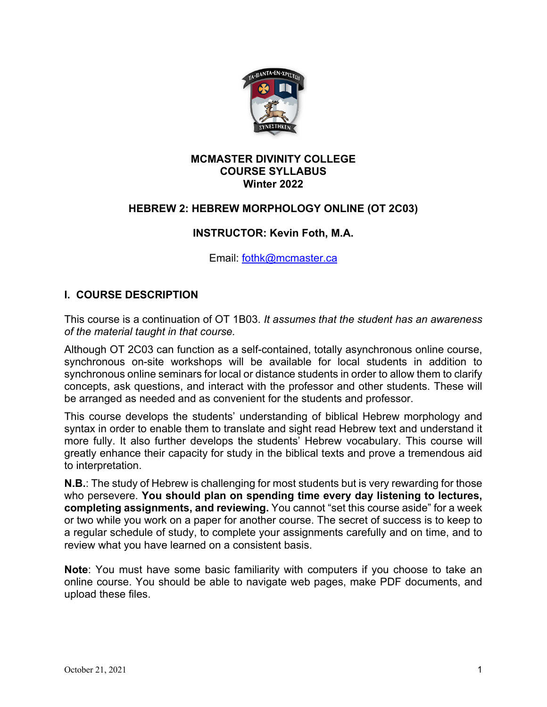

#### **MCMASTER DIVINITY COLLEGE COURSE SYLLABUS Winter 2022**

### **HEBREW 2: HEBREW MORPHOLOGY ONLINE (OT 2C03)**

### **INSTRUCTOR: Kevin Foth, M.A.**

Email: fothk@mcmaster.ca

### **I. COURSE DESCRIPTION**

This course is a continuation of OT 1B03. *It assumes that the student has an awareness of the material taught in that course.*

Although OT 2C03 can function as a self-contained, totally asynchronous online course, synchronous on-site workshops will be available for local students in addition to synchronous online seminars for local or distance students in order to allow them to clarify concepts, ask questions, and interact with the professor and other students. These will be arranged as needed and as convenient for the students and professor.

This course develops the students' understanding of biblical Hebrew morphology and syntax in order to enable them to translate and sight read Hebrew text and understand it more fully. It also further develops the students' Hebrew vocabulary. This course will greatly enhance their capacity for study in the biblical texts and prove a tremendous aid to interpretation.

**N.B.**: The study of Hebrew is challenging for most students but is very rewarding for those who persevere. **You should plan on spending time every day listening to lectures, completing assignments, and reviewing.** You cannot "set this course aside" for a week or two while you work on a paper for another course. The secret of success is to keep to a regular schedule of study, to complete your assignments carefully and on time, and to review what you have learned on a consistent basis.

**Note**: You must have some basic familiarity with computers if you choose to take an online course. You should be able to navigate web pages, make PDF documents, and upload these files.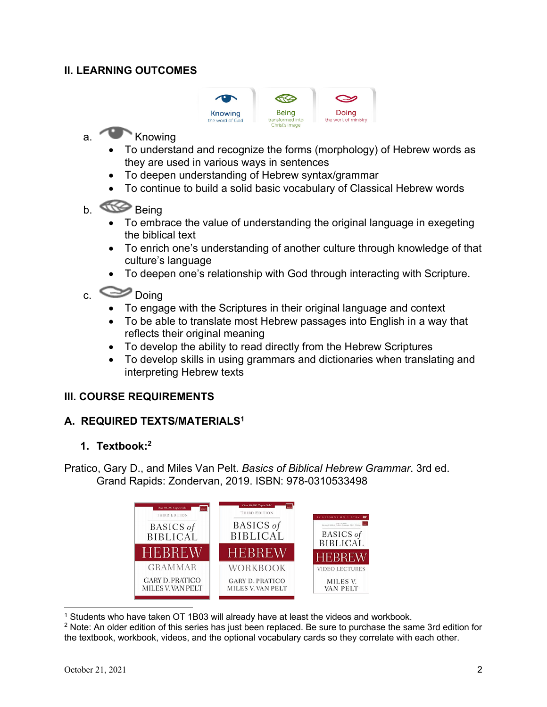## **II. LEARNING OUTCOMES**



# a. Knowing

- To understand and recognize the forms (morphology) of Hebrew words as they are used in various ways in sentences
- To deepen understanding of Hebrew syntax/grammar
- To continue to build a solid basic vocabulary of Classical Hebrew words
- b. Being
	- To embrace the value of understanding the original language in exegeting the biblical text
	- To enrich one's understanding of another culture through knowledge of that culture's language
	- To deepen one's relationship with God through interacting with Scripture.
- c. Doing
	- To engage with the Scriptures in their original language and context
	- To be able to translate most Hebrew passages into English in a way that reflects their original meaning
	- To develop the ability to read directly from the Hebrew Scriptures
	- To develop skills in using grammars and dictionaries when translating and interpreting Hebrew texts

## **III. COURSE REQUIREMENTS**

## **A. REQUIRED TEXTS/MATERIALS1**

## **1. Textbook:2**

Pratico, Gary D., and Miles Van Pelt. *Basics of Biblical Hebrew Grammar*. 3rd ed. Grand Rapids: Zondervan, 2019. ISBN: 978-0310533498



 $1$  Students who have taken OT 1B03 will already have at least the videos and workbook.

 $2$  Note: An older edition of this series has just been replaced. Be sure to purchase the same 3rd edition for the textbook, workbook, videos, and the optional vocabulary cards so they correlate with each other.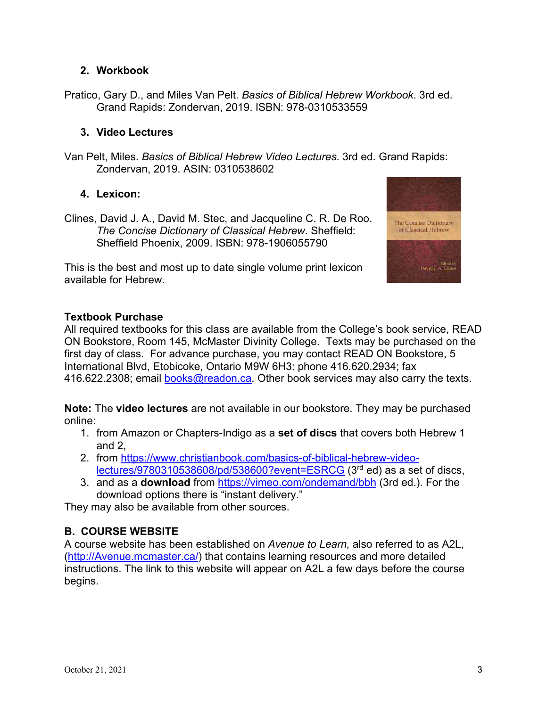### **2. Workbook**

Pratico, Gary D., and Miles Van Pelt. *Basics of Biblical Hebrew Workbook*. 3rd ed. Grand Rapids: Zondervan, 2019. ISBN: 978-0310533559

#### **3. Video Lectures**

Van Pelt, Miles. *Basics of Biblical Hebrew Video Lectures*. 3rd ed. Grand Rapids: Zondervan, 2019. ASIN: 0310538602

### **4. Lexicon:**

Clines, David J. A., David M. Stec, and Jacqueline C. R. De Roo. *The Concise Dictionary of Classical Hebrew*. Sheffield: Sheffield Phoenix, 2009. ISBN: 978-1906055790

This is the best and most up to date single volume print lexicon available for Hebrew.



## **Textbook Purchase**

All required textbooks for this class are available from the College's book service, READ ON Bookstore, Room 145, McMaster Divinity College. Texts may be purchased on the first day of class. For advance purchase, you may contact READ ON Bookstore, 5 International Blvd, Etobicoke, Ontario M9W 6H3: phone 416.620.2934; fax 416.622.2308; email books@readon.ca. Other book services may also carry the texts.

**Note:** The **video lectures** are not available in our bookstore. They may be purchased online:

- 1. from Amazon or Chapters-Indigo as a **set of discs** that covers both Hebrew 1 and 2,
- 2. from https://www.christianbook.com/basics-of-biblical-hebrew-videolectures/9780310538608/pd/538600?event=ESRCG (3rd ed) as a set of discs,
- 3. and as a **download** from https://vimeo.com/ondemand/bbh (3rd ed.). For the download options there is "instant delivery."

They may also be available from other sources.

## **B. COURSE WEBSITE**

A course website has been established on *Avenue to Learn,* also referred to as A2L, (http://Avenue.mcmaster.ca/) that contains learning resources and more detailed instructions. The link to this website will appear on A2L a few days before the course begins.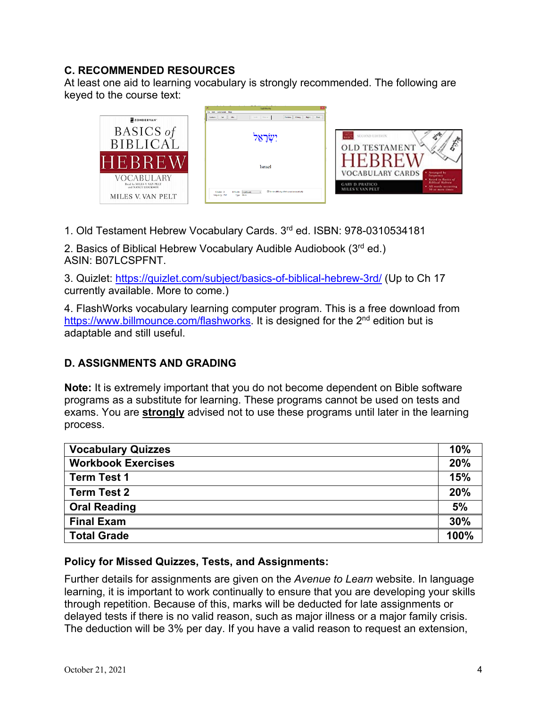## **C. RECOMMENDED RESOURCES**

At least one aid to learning vocabulary is strongly recommended. The following are keyed to the course text:



1. Old Testament Hebrew Vocabulary Cards. 3rd ed. ISBN: 978-0310534181

2. Basics of Biblical Hebrew Vocabulary Audible Audiobook (3rd ed.) ASIN: B07LCSPFNT.

3. Quizlet: https://quizlet.com/subject/basics-of-biblical-hebrew-3rd/ (Up to Ch 17 currently available. More to come.)

4. FlashWorks vocabulary learning computer program. This is a free download from https://www.billmounce.com/flashworks. It is designed for the 2<sup>nd</sup> edition but is adaptable and still useful.

## **D. ASSIGNMENTS AND GRADING**

**Note:** It is extremely important that you do not become dependent on Bible software programs as a substitute for learning. These programs cannot be used on tests and exams. You are **strongly** advised not to use these programs until later in the learning process.

| <b>Vocabulary Quizzes</b> | 10%  |
|---------------------------|------|
| <b>Workbook Exercises</b> | 20%  |
| <b>Term Test 1</b>        | 15%  |
| <b>Term Test 2</b>        | 20%  |
| <b>Oral Reading</b>       | 5%   |
| <b>Final Exam</b>         | 30%  |
| <b>Total Grade</b>        | 100% |

#### **Policy for Missed Quizzes, Tests, and Assignments:**

Further details for assignments are given on the *Avenue to Learn* website. In language learning, it is important to work continually to ensure that you are developing your skills through repetition. Because of this, marks will be deducted for late assignments or delayed tests if there is no valid reason, such as major illness or a major family crisis. The deduction will be 3% per day. If you have a valid reason to request an extension,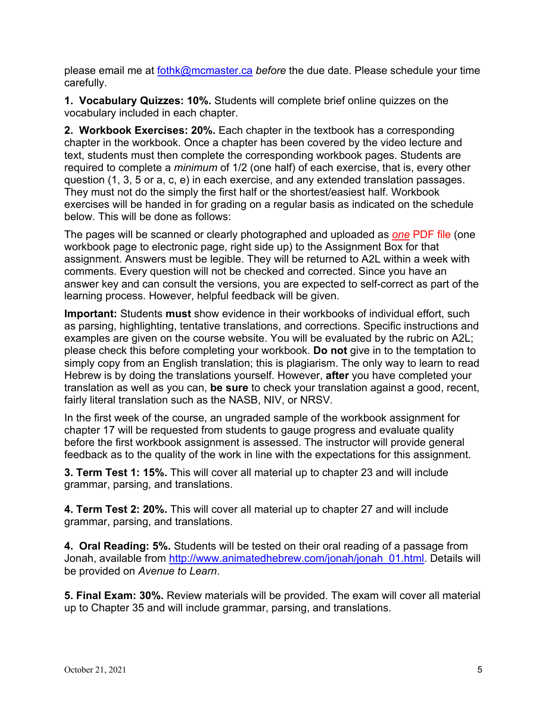please email me at fothk@mcmaster.ca *before* the due date. Please schedule your time carefully.

**1. Vocabulary Quizzes: 10%.** Students will complete brief online quizzes on the vocabulary included in each chapter.

**2. Workbook Exercises: 20%.** Each chapter in the textbook has a corresponding chapter in the workbook. Once a chapter has been covered by the video lecture and text, students must then complete the corresponding workbook pages. Students are required to complete a *minimum* of 1/2 (one half) of each exercise, that is, every other question (1, 3, 5 or a, c, e) in each exercise, and any extended translation passages. They must not do the simply the first half or the shortest/easiest half. Workbook exercises will be handed in for grading on a regular basis as indicated on the schedule below. This will be done as follows:

The pages will be scanned or clearly photographed and uploaded as *one* PDF file (one workbook page to electronic page, right side up) to the Assignment Box for that assignment. Answers must be legible. They will be returned to A2L within a week with comments. Every question will not be checked and corrected. Since you have an answer key and can consult the versions, you are expected to self-correct as part of the learning process. However, helpful feedback will be given.

**Important:** Students **must** show evidence in their workbooks of individual effort, such as parsing, highlighting, tentative translations, and corrections. Specific instructions and examples are given on the course website. You will be evaluated by the rubric on A2L; please check this before completing your workbook. **Do not** give in to the temptation to simply copy from an English translation; this is plagiarism. The only way to learn to read Hebrew is by doing the translations yourself. However, **after** you have completed your translation as well as you can, **be sure** to check your translation against a good, recent, fairly literal translation such as the NASB, NIV, or NRSV.

In the first week of the course, an ungraded sample of the workbook assignment for chapter 17 will be requested from students to gauge progress and evaluate quality before the first workbook assignment is assessed. The instructor will provide general feedback as to the quality of the work in line with the expectations for this assignment.

**3. Term Test 1: 15%.** This will cover all material up to chapter 23 and will include grammar, parsing, and translations.

**4. Term Test 2: 20%.** This will cover all material up to chapter 27 and will include grammar, parsing, and translations.

**4. Oral Reading: 5%.** Students will be tested on their oral reading of a passage from Jonah, available from http://www.animatedhebrew.com/jonah/jonah\_01.html. Details will be provided on *Avenue to Learn*.

**5. Final Exam: 30%.** Review materials will be provided. The exam will cover all material up to Chapter 35 and will include grammar, parsing, and translations.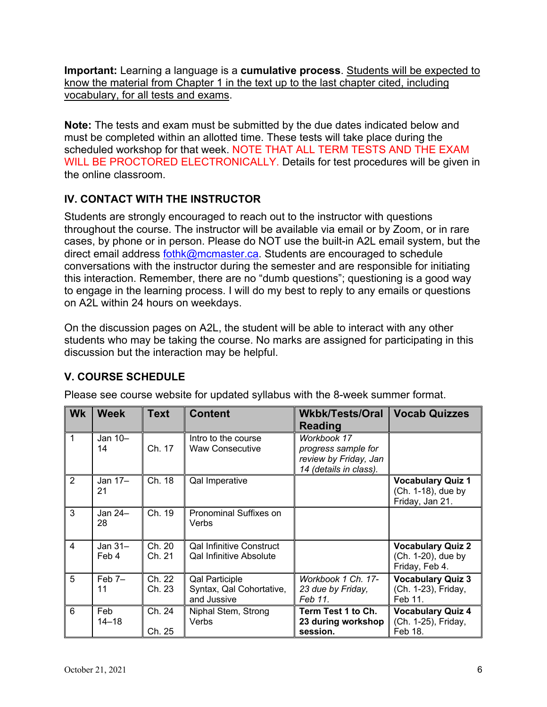**Important:** Learning a language is a **cumulative process**. Students will be expected to know the material from Chapter 1 in the text up to the last chapter cited, including vocabulary, for all tests and exams.

**Note:** The tests and exam must be submitted by the due dates indicated below and must be completed within an allotted time. These tests will take place during the scheduled workshop for that week. NOTE THAT ALL TERM TESTS AND THE EXAM WILL BE PROCTORED ELECTRONICALLY. Details for test procedures will be given in the online classroom.

## **IV. CONTACT WITH THE INSTRUCTOR**

Students are strongly encouraged to reach out to the instructor with questions throughout the course. The instructor will be available via email or by Zoom, or in rare cases, by phone or in person. Please do NOT use the built-in A2L email system, but the direct email address fothk@mcmaster.ca. Students are encouraged to schedule conversations with the instructor during the semester and are responsible for initiating this interaction. Remember, there are no "dumb questions"; questioning is a good way to engage in the learning process. I will do my best to reply to any emails or questions on A2L within 24 hours on weekdays.

On the discussion pages on A2L, the student will be able to interact with any other students who may be taking the course. No marks are assigned for participating in this discussion but the interaction may be helpful.

## **V. COURSE SCHEDULE**

|  | Please see course website for updated syllabus with the 8-week summer format. |
|--|-------------------------------------------------------------------------------|
|--|-------------------------------------------------------------------------------|

| Wk             | <b>Week</b>      | <b>Text</b>                    | <b>Content</b>                                             | <b>Wkbk/Tests/Oral   Vocab Quizzes</b><br><b>Reading</b>                              |                                                                   |
|----------------|------------------|--------------------------------|------------------------------------------------------------|---------------------------------------------------------------------------------------|-------------------------------------------------------------------|
| 1              | Jan 10-<br>14    | Ch. 17                         | Intro to the course<br><b>Waw Consecutive</b>              | Workbook 17<br>progress sample for<br>review by Friday, Jan<br>14 (details in class). |                                                                   |
| 2              | Jan 17-<br>21    | Ch. 18                         | Qal Imperative                                             |                                                                                       | <b>Vocabulary Quiz 1</b><br>(Ch. 1-18), due by<br>Friday, Jan 21. |
| 3              | Jan 24-<br>28    | Ch. 19                         | <b>Pronominal Suffixes on</b><br>Verbs                     |                                                                                       |                                                                   |
| $\overline{4}$ | Jan 31-<br>Feb 4 | $\overline{C}$ h. 20<br>Ch. 21 | <b>Qal Infinitive Construct</b><br>Qal Infinitive Absolute |                                                                                       | <b>Vocabulary Quiz 2</b><br>(Ch. 1-20), due by<br>Friday, Feb 4.  |
| 5              | $Feb$ 7-<br>11   | Ch. 22<br>Ch. 23               | Qal Participle<br>Syntax, Qal Cohortative,<br>and Jussive  | Workbook 1 Ch. 17-<br>23 due by Friday,<br>Feb 11.                                    | <b>Vocabulary Quiz 3</b><br>(Ch. 1-23), Friday,<br>Feb 11.        |
| 6              | Feb<br>$14 - 18$ | Ch. 24<br>Ch. 25               | Niphal Stem, Strong<br>Verbs                               | Term Test 1 to Ch.<br>23 during workshop<br>session.                                  | <b>Vocabulary Quiz 4</b><br>(Ch. 1-25), Friday,<br>Feb 18.        |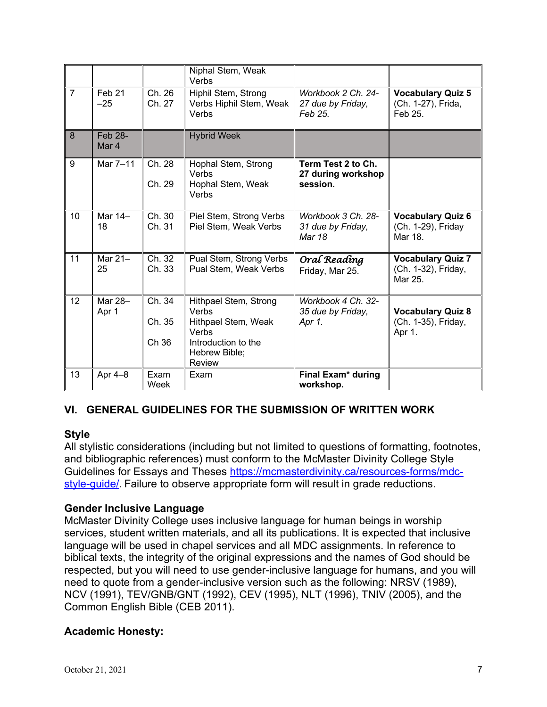|                |                            |                           | Niphal Stem, Weak<br>Verbs                                                                                              |                                                      |                                                            |
|----------------|----------------------------|---------------------------|-------------------------------------------------------------------------------------------------------------------------|------------------------------------------------------|------------------------------------------------------------|
| $\overline{7}$ | Feb <sub>21</sub><br>$-25$ | Ch. 26<br>Ch. 27          | Hiphil Stem, Strong<br>Verbs Hiphil Stem, Weak<br>Verbs                                                                 | Workbook 2 Ch. 24-<br>27 due by Friday,<br>Feb 25.   | <b>Vocabulary Quiz 5</b><br>(Ch. 1-27), Frida,<br>Feb 25.  |
| 8              | <b>Feb 28-</b><br>Mar 4    |                           | <b>Hybrid Week</b>                                                                                                      |                                                      |                                                            |
| 9              | Mar 7-11                   | Ch. 28<br>Ch. 29          | Hophal Stem, Strong<br>Verbs<br>Hophal Stem, Weak<br>Verbs                                                              | Term Test 2 to Ch.<br>27 during workshop<br>session. |                                                            |
| 10             | Mar $14-$<br>18            | Ch. 30<br>Ch. 31          | Piel Stem, Strong Verbs<br>Piel Stem, Weak Verbs                                                                        | Workbook 3 Ch. 28-<br>31 due by Friday,<br>Mar 18    | <b>Vocabulary Quiz 6</b><br>(Ch. 1-29), Friday<br>Mar 18.  |
| 11             | Mar 21-<br>25              | Ch. 32<br>Ch. 33          | Pual Stem, Strong Verbs<br>Pual Stem, Weak Verbs                                                                        | Oral Reading<br>Friday, Mar 25.                      | <b>Vocabulary Quiz 7</b><br>(Ch. 1-32), Friday,<br>Mar 25. |
| 12             | Mar 28-<br>Apr 1           | Ch. 34<br>Ch. 35<br>Ch 36 | Hithpael Stem, Strong<br>Verbs<br>Hithpael Stem, Weak<br>Verbs<br>Introduction to the<br>Hebrew Bible;<br><b>Review</b> | Workbook 4 Ch. 32-<br>35 due by Friday,<br>Apr 1.    | <b>Vocabulary Quiz 8</b><br>(Ch. 1-35), Friday,<br>Apr 1.  |
| 13             | Apr 4-8                    | Exam<br>Week              | Exam                                                                                                                    | Final Exam* during<br>workshop.                      |                                                            |

## **VI. GENERAL GUIDELINES FOR THE SUBMISSION OF WRITTEN WORK**

#### **Style**

All stylistic considerations (including but not limited to questions of formatting, footnotes, and bibliographic references) must conform to the McMaster Divinity College Style Guidelines for Essays and Theses https://mcmasterdivinity.ca/resources-forms/mdcstyle-guide/. Failure to observe appropriate form will result in grade reductions.

#### **Gender Inclusive Language**

McMaster Divinity College uses inclusive language for human beings in worship services, student written materials, and all its publications. It is expected that inclusive language will be used in chapel services and all MDC assignments. In reference to biblical texts, the integrity of the original expressions and the names of God should be respected, but you will need to use gender-inclusive language for humans, and you will need to quote from a gender-inclusive version such as the following: NRSV (1989), NCV (1991), TEV/GNB/GNT (1992), CEV (1995), NLT (1996), TNIV (2005), and the Common English Bible (CEB 2011).

## **Academic Honesty:**